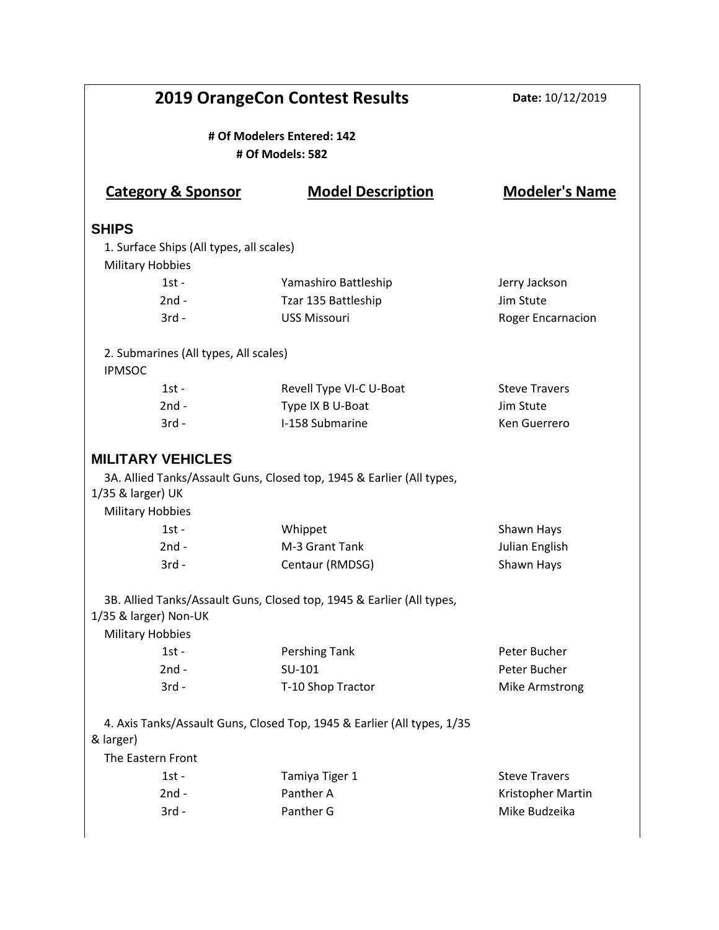| <b>2019 OrangeCon Contest Results</b>                                    |                                                                         | Date: 10/12/2019         |
|--------------------------------------------------------------------------|-------------------------------------------------------------------------|--------------------------|
| # Of Modelers Entered: 142<br># Of Models: 582                           |                                                                         |                          |
| <b>Category &amp; Sponsor</b>                                            | <b>Model Description</b>                                                | <b>Modeler's Name</b>    |
| <b>SHIPS</b>                                                             |                                                                         |                          |
| 1. Surface Ships (All types, all scales)<br><b>Military Hobbies</b>      |                                                                         |                          |
| $1st -$                                                                  | Yamashiro Battleship                                                    | Jerry Jackson            |
| $2nd -$                                                                  | Tzar 135 Battleship                                                     | Jim Stute                |
| $3rd -$                                                                  | <b>USS Missouri</b>                                                     | <b>Roger Encarnacion</b> |
| 2. Submarines (All types, All scales)<br><b>IPMSOC</b>                   |                                                                         |                          |
| $1st -$                                                                  | Revell Type VI-C U-Boat                                                 | <b>Steve Travers</b>     |
| $2nd -$                                                                  | Type IX B U-Boat                                                        | Jim Stute                |
| $3rd -$                                                                  | I-158 Submarine                                                         | Ken Guerrero             |
| <b>MILITARY VEHICLES</b><br>1/35 & larger) UK<br><b>Military Hobbies</b> | 3A. Allied Tanks/Assault Guns, Closed top, 1945 & Earlier (All types,   |                          |
| $1st -$                                                                  | Whippet                                                                 | Shawn Hays               |
| $2nd -$                                                                  | M-3 Grant Tank                                                          | Julian English           |
| $3rd -$                                                                  | Centaur (RMDSG)                                                         | Shawn Hays               |
| 1/35 & larger) Non-UK<br><b>Military Hobbies</b>                         | 3B. Allied Tanks/Assault Guns, Closed top, 1945 & Earlier (All types,   |                          |
| $1st -$                                                                  | Pershing Tank                                                           | Peter Bucher             |
| $2nd -$                                                                  | SU-101                                                                  | Peter Bucher             |
| $3rd -$                                                                  | T-10 Shop Tractor                                                       | Mike Armstrong           |
| & larger)                                                                | 4. Axis Tanks/Assault Guns, Closed Top, 1945 & Earlier (All types, 1/35 |                          |
| The Eastern Front                                                        |                                                                         |                          |
| $1st -$                                                                  | Tamiya Tiger 1                                                          | <b>Steve Travers</b>     |
| $2nd -$                                                                  | Panther A                                                               | Kristopher Martin        |
| $3rd -$                                                                  | Panther G                                                               | Mike Budzeika            |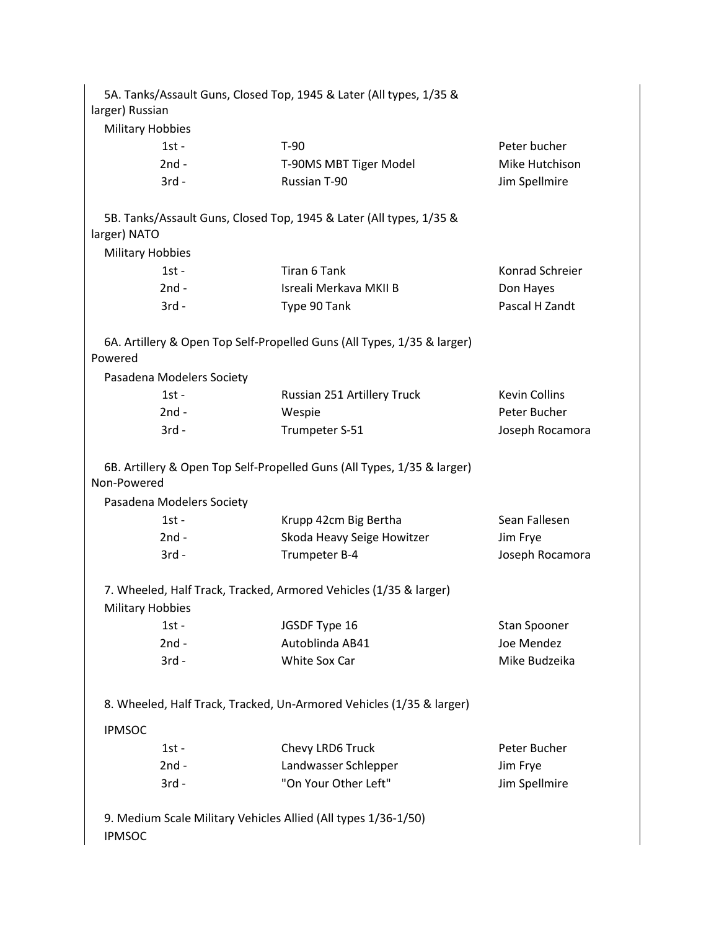|                                                                                 | 5A. Tanks/Assault Guns, Closed Top, 1945 & Later (All types, 1/35 &     |                      |
|---------------------------------------------------------------------------------|-------------------------------------------------------------------------|----------------------|
| larger) Russian                                                                 |                                                                         |                      |
| <b>Military Hobbies</b>                                                         |                                                                         |                      |
| $1st -$                                                                         | $T-90$                                                                  | Peter bucher         |
| $2nd -$                                                                         | T-90MS MBT Tiger Model                                                  | Mike Hutchison       |
| $3rd -$                                                                         | Russian T-90                                                            | Jim Spellmire        |
| larger) NATO                                                                    | 5B. Tanks/Assault Guns, Closed Top, 1945 & Later (All types, 1/35 &     |                      |
| <b>Military Hobbies</b>                                                         |                                                                         |                      |
| $1st -$                                                                         | Tiran 6 Tank                                                            | Konrad Schreier      |
| $2nd -$                                                                         | Isreali Merkava MKII B                                                  | Don Hayes            |
| $3rd -$                                                                         | Type 90 Tank                                                            | Pascal H Zandt       |
| Powered                                                                         | 6A. Artillery & Open Top Self-Propelled Guns (All Types, 1/35 & larger) |                      |
| Pasadena Modelers Society                                                       |                                                                         |                      |
| $1st -$                                                                         | Russian 251 Artillery Truck                                             | <b>Kevin Collins</b> |
| $2nd -$                                                                         | Wespie                                                                  | Peter Bucher         |
| $3rd -$                                                                         | Trumpeter S-51                                                          | Joseph Rocamora      |
| Non-Powered                                                                     | 6B. Artillery & Open Top Self-Propelled Guns (All Types, 1/35 & larger) |                      |
| Pasadena Modelers Society                                                       |                                                                         |                      |
| $1st -$                                                                         | Krupp 42cm Big Bertha                                                   | Sean Fallesen        |
| $2nd -$                                                                         | Skoda Heavy Seige Howitzer                                              | Jim Frye             |
| $3rd -$                                                                         | Trumpeter B-4                                                           | Joseph Rocamora      |
| <b>Military Hobbies</b>                                                         | 7. Wheeled, Half Track, Tracked, Armored Vehicles (1/35 & larger)       |                      |
| $1st -$                                                                         | JGSDF Type 16                                                           | Stan Spooner         |
| $2nd -$                                                                         | Autoblinda AB41                                                         | Joe Mendez           |
| $3rd -$                                                                         | White Sox Car                                                           | Mike Budzeika        |
|                                                                                 | 8. Wheeled, Half Track, Tracked, Un-Armored Vehicles (1/35 & larger)    |                      |
| <b>IPMSOC</b>                                                                   |                                                                         |                      |
| $1st -$                                                                         | Chevy LRD6 Truck                                                        | Peter Bucher         |
| $2nd -$                                                                         | Landwasser Schlepper                                                    | Jim Frye             |
| $3rd -$                                                                         | "On Your Other Left"                                                    | Jim Spellmire        |
| 9. Medium Scale Military Vehicles Allied (All types 1/36-1/50)<br><b>IPMSOC</b> |                                                                         |                      |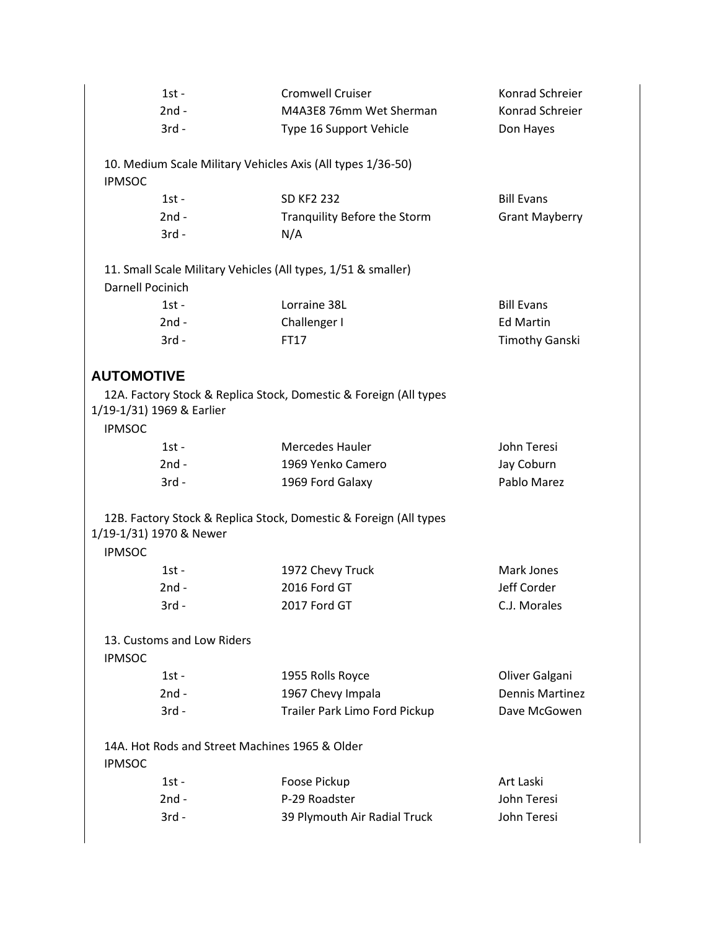|                   | $1st -$                                        | <b>Cromwell Cruiser</b>                                           | Konrad Schreier        |
|-------------------|------------------------------------------------|-------------------------------------------------------------------|------------------------|
|                   | $2nd -$                                        | M4A3E8 76mm Wet Sherman                                           | Konrad Schreier        |
|                   | $3rd -$                                        | Type 16 Support Vehicle                                           | Don Hayes              |
|                   |                                                |                                                                   |                        |
| <b>IPMSOC</b>     |                                                | 10. Medium Scale Military Vehicles Axis (All types 1/36-50)       |                        |
|                   | $1st -$                                        | <b>SD KF2 232</b>                                                 | <b>Bill Evans</b>      |
|                   | $2nd -$                                        | Tranquility Before the Storm                                      | <b>Grant Mayberry</b>  |
|                   | $3rd -$                                        | N/A                                                               |                        |
|                   |                                                | 11. Small Scale Military Vehicles (All types, 1/51 & smaller)     |                        |
| Darnell Pocinich  |                                                |                                                                   |                        |
|                   | $1st -$                                        | Lorraine 38L                                                      | <b>Bill Evans</b>      |
|                   | $2nd -$                                        | Challenger I                                                      | <b>Ed Martin</b>       |
|                   | $3rd -$                                        | FT17                                                              | <b>Timothy Ganski</b>  |
| <b>AUTOMOTIVE</b> |                                                |                                                                   |                        |
|                   |                                                | 12A. Factory Stock & Replica Stock, Domestic & Foreign (All types |                        |
|                   | 1/19-1/31) 1969 & Earlier                      |                                                                   |                        |
| <b>IPMSOC</b>     |                                                |                                                                   |                        |
|                   | $1st -$                                        | Mercedes Hauler                                                   | John Teresi            |
|                   | $2nd -$                                        | 1969 Yenko Camero                                                 | Jay Coburn             |
|                   | $3rd -$                                        | 1969 Ford Galaxy                                                  | Pablo Marez            |
|                   |                                                |                                                                   |                        |
|                   | 1/19-1/31) 1970 & Newer                        | 12B. Factory Stock & Replica Stock, Domestic & Foreign (All types |                        |
| <b>IPMSOC</b>     |                                                |                                                                   |                        |
|                   | $1st -$                                        | 1972 Chevy Truck                                                  | Mark Jones             |
|                   | $2nd -$                                        | 2016 Ford GT                                                      | Jeff Corder            |
|                   | 3rd -                                          | 2017 Ford GT                                                      | C.J. Morales           |
|                   |                                                |                                                                   |                        |
|                   | 13. Customs and Low Riders                     |                                                                   |                        |
| <b>IPMSOC</b>     |                                                |                                                                   |                        |
|                   | $1st -$                                        | 1955 Rolls Royce                                                  | Oliver Galgani         |
|                   | $2nd -$                                        | 1967 Chevy Impala                                                 | <b>Dennis Martinez</b> |
|                   | $3rd -$                                        | Trailer Park Limo Ford Pickup                                     | Dave McGowen           |
|                   | 14A. Hot Rods and Street Machines 1965 & Older |                                                                   |                        |
| <b>IPMSOC</b>     |                                                |                                                                   |                        |
|                   | $1st -$                                        | Foose Pickup                                                      | Art Laski              |
|                   | $2nd -$                                        | P-29 Roadster                                                     | John Teresi            |
|                   | $3rd -$                                        | 39 Plymouth Air Radial Truck                                      | John Teresi            |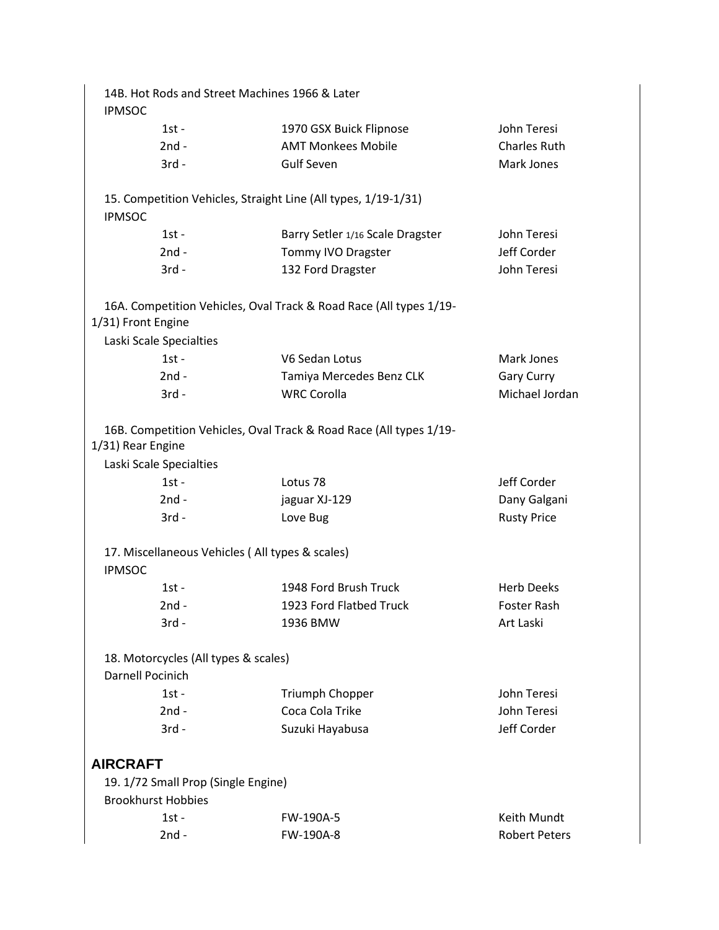| <b>IPMSOC</b>      | 14B. Hot Rods and Street Machines 1966 & Later                   |                                                                    |                      |
|--------------------|------------------------------------------------------------------|--------------------------------------------------------------------|----------------------|
|                    | $1st -$                                                          | 1970 GSX Buick Flipnose                                            | John Teresi          |
|                    | $2nd -$                                                          | <b>AMT Monkees Mobile</b>                                          | <b>Charles Ruth</b>  |
|                    | $3rd -$                                                          | <b>Gulf Seven</b>                                                  | Mark Jones           |
| <b>IPMSOC</b>      |                                                                  | 15. Competition Vehicles, Straight Line (All types, 1/19-1/31)     |                      |
|                    | $1st -$                                                          | Barry Setler 1/16 Scale Dragster                                   | John Teresi          |
|                    | $2nd -$                                                          | Tommy IVO Dragster                                                 | Jeff Corder          |
|                    | $3rd -$                                                          | 132 Ford Dragster                                                  | John Teresi          |
| 1/31) Front Engine | Laski Scale Specialties                                          | 16A. Competition Vehicles, Oval Track & Road Race (All types 1/19- |                      |
|                    | $1st -$                                                          | V6 Sedan Lotus                                                     | Mark Jones           |
|                    | $2nd -$                                                          | Tamiya Mercedes Benz CLK                                           | <b>Gary Curry</b>    |
|                    | $3rd -$                                                          | <b>WRC Corolla</b>                                                 | Michael Jordan       |
| 1/31) Rear Engine  | Laski Scale Specialties                                          | 16B. Competition Vehicles, Oval Track & Road Race (All types 1/19- |                      |
|                    | $1st -$                                                          | Lotus <sub>78</sub>                                                | Jeff Corder          |
|                    | $2nd -$                                                          | jaguar XJ-129                                                      | Dany Galgani         |
|                    | $3rd -$                                                          | Love Bug                                                           | <b>Rusty Price</b>   |
| <b>IPMSOC</b>      | 17. Miscellaneous Vehicles (All types & scales)                  |                                                                    |                      |
|                    | $1st -$                                                          | 1948 Ford Brush Truck                                              | <b>Herb Deeks</b>    |
|                    | 2nd -                                                            | 1923 Ford Flatbed Truck                                            | Foster Rash          |
|                    | $3rd -$                                                          | 1936 BMW                                                           | Art Laski            |
| Darnell Pocinich   | 18. Motorcycles (All types & scales)                             |                                                                    |                      |
|                    | $1st -$                                                          | Triumph Chopper                                                    | John Teresi          |
|                    | $2nd -$                                                          | Coca Cola Trike                                                    | John Teresi          |
|                    | $3rd -$                                                          | Suzuki Hayabusa                                                    | Jeff Corder          |
| <b>AIRCRAFT</b>    |                                                                  |                                                                    |                      |
|                    | 19. 1/72 Small Prop (Single Engine)<br><b>Brookhurst Hobbies</b> |                                                                    |                      |
|                    |                                                                  |                                                                    | Keith Mundt          |
|                    | $1st -$                                                          | FW-190A-5                                                          |                      |
|                    | $2nd -$                                                          | FW-190A-8                                                          | <b>Robert Peters</b> |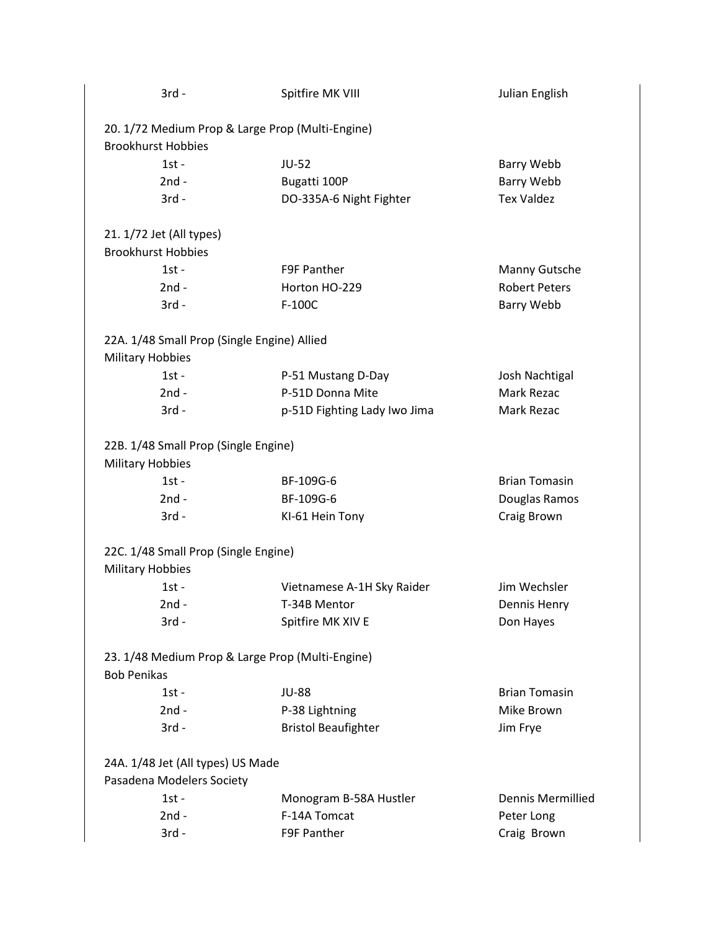| $3rd -$                                          | Spitfire MK VIII             | Julian English           |
|--------------------------------------------------|------------------------------|--------------------------|
| 20. 1/72 Medium Prop & Large Prop (Multi-Engine) |                              |                          |
| <b>Brookhurst Hobbies</b>                        |                              |                          |
| $1st -$                                          | <b>JU-52</b>                 | Barry Webb               |
| $2nd -$                                          | Bugatti 100P                 | <b>Barry Webb</b>        |
| $3rd -$                                          | DO-335A-6 Night Fighter      | <b>Tex Valdez</b>        |
| 21. 1/72 Jet (All types)                         |                              |                          |
| <b>Brookhurst Hobbies</b>                        |                              |                          |
| $1st -$                                          | F9F Panther                  | Manny Gutsche            |
| $2nd -$                                          | Horton HO-229                | <b>Robert Peters</b>     |
| $3rd -$                                          | F-100C                       | <b>Barry Webb</b>        |
| 22A. 1/48 Small Prop (Single Engine) Allied      |                              |                          |
| <b>Military Hobbies</b>                          |                              |                          |
| $1st -$                                          | P-51 Mustang D-Day           | Josh Nachtigal           |
| $2nd -$                                          | P-51D Donna Mite             | Mark Rezac               |
| $3rd -$                                          | p-51D Fighting Lady Iwo Jima | Mark Rezac               |
| 22B. 1/48 Small Prop (Single Engine)             |                              |                          |
| <b>Military Hobbies</b>                          |                              |                          |
| $1st -$                                          | BF-109G-6                    | <b>Brian Tomasin</b>     |
| $2nd -$                                          | BF-109G-6                    | Douglas Ramos            |
| $3rd -$                                          | KI-61 Hein Tony              | Craig Brown              |
| 22C. 1/48 Small Prop (Single Engine)             |                              |                          |
| <b>Military Hobbies</b>                          |                              |                          |
| $1st -$                                          | Vietnamese A-1H Sky Raider   | Jim Wechsler             |
| $2nd -$                                          | T-34B Mentor                 | Dennis Henry             |
| $3rd -$                                          | Spitfire MK XIV E            | Don Hayes                |
| 23. 1/48 Medium Prop & Large Prop (Multi-Engine) |                              |                          |
| <b>Bob Penikas</b>                               |                              |                          |
| $1st -$                                          | <b>JU-88</b>                 | <b>Brian Tomasin</b>     |
| $2nd -$                                          | P-38 Lightning               | Mike Brown               |
| $3rd -$                                          | <b>Bristol Beaufighter</b>   | Jim Frye                 |
| 24A. 1/48 Jet (All types) US Made                |                              |                          |
| Pasadena Modelers Society                        |                              |                          |
| $1st -$                                          | Monogram B-58A Hustler       | <b>Dennis Mermillied</b> |
| $2nd -$                                          | F-14A Tomcat                 | Peter Long               |
| $3rd -$                                          | F9F Panther                  | Craig Brown              |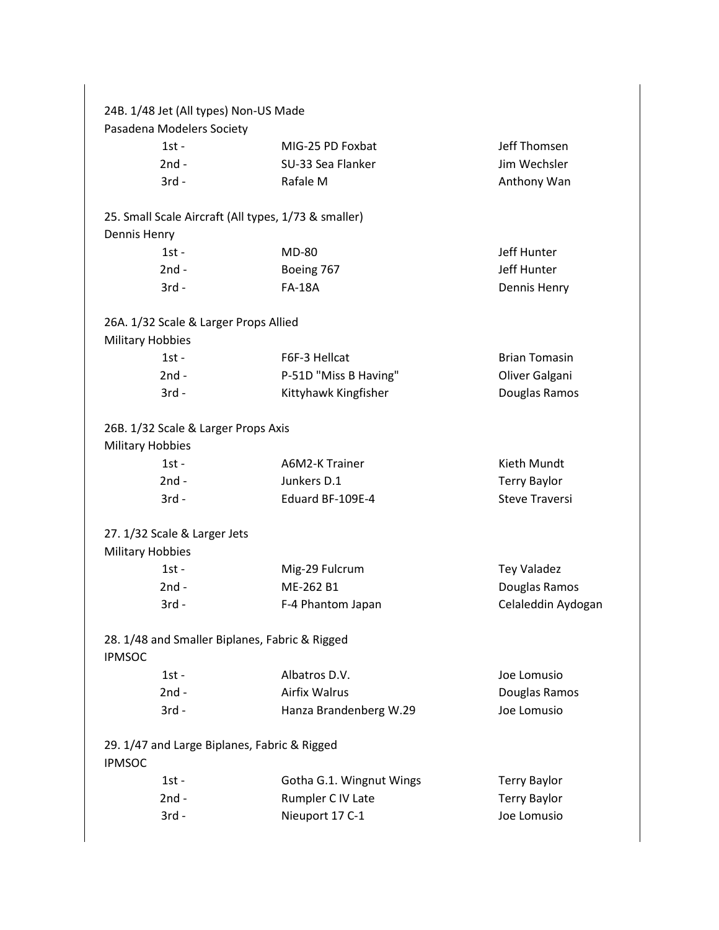|                         | 24B. 1/48 Jet (All types) Non-US Made                |                          |                       |
|-------------------------|------------------------------------------------------|--------------------------|-----------------------|
|                         | Pasadena Modelers Society                            |                          |                       |
|                         | $1st -$                                              | MIG-25 PD Foxbat         | Jeff Thomsen          |
|                         | $2nd -$                                              | SU-33 Sea Flanker        | Jim Wechsler          |
|                         | $3rd -$                                              | Rafale M                 | Anthony Wan           |
|                         | 25. Small Scale Aircraft (All types, 1/73 & smaller) |                          |                       |
| Dennis Henry            |                                                      |                          |                       |
|                         | $1st -$                                              | <b>MD-80</b>             | Jeff Hunter           |
|                         | $2nd -$                                              | Boeing 767               | Jeff Hunter           |
|                         | $3rd -$                                              | <b>FA-18A</b>            | Dennis Henry          |
|                         | 26A. 1/32 Scale & Larger Props Allied                |                          |                       |
| <b>Military Hobbies</b> |                                                      |                          |                       |
|                         | $1st -$                                              | F6F-3 Hellcat            | <b>Brian Tomasin</b>  |
|                         | $2nd -$                                              | P-51D "Miss B Having"    | Oliver Galgani        |
|                         | $3rd -$                                              | Kittyhawk Kingfisher     | Douglas Ramos         |
|                         | 26B. 1/32 Scale & Larger Props Axis                  |                          |                       |
| <b>Military Hobbies</b> |                                                      |                          |                       |
|                         | $1st -$                                              | A6M2-K Trainer           | Kieth Mundt           |
|                         | $2nd -$                                              | Junkers D.1              | <b>Terry Baylor</b>   |
|                         | $3rd -$                                              | Eduard BF-109E-4         | <b>Steve Traversi</b> |
|                         | 27. 1/32 Scale & Larger Jets                         |                          |                       |
| <b>Military Hobbies</b> |                                                      |                          |                       |
|                         | $1st -$                                              | Mig-29 Fulcrum           | <b>Tey Valadez</b>    |
|                         | $2nd -$                                              | ME-262 B1                | Douglas Ramos         |
|                         | $3rd -$                                              | F-4 Phantom Japan        | Celaleddin Aydogan    |
| <b>IPMSOC</b>           | 28. 1/48 and Smaller Biplanes, Fabric & Rigged       |                          |                       |
|                         | $1st -$                                              | Albatros D.V.            | Joe Lomusio           |
|                         | $2nd -$                                              | <b>Airfix Walrus</b>     | Douglas Ramos         |
|                         | $3rd -$                                              | Hanza Brandenberg W.29   | Joe Lomusio           |
| <b>IPMSOC</b>           | 29. 1/47 and Large Biplanes, Fabric & Rigged         |                          |                       |
|                         | $1st -$                                              | Gotha G.1. Wingnut Wings | <b>Terry Baylor</b>   |
|                         | $2nd -$                                              | Rumpler C IV Late        | <b>Terry Baylor</b>   |
|                         | $3rd -$                                              | Nieuport 17 C-1          | Joe Lomusio           |
|                         |                                                      |                          |                       |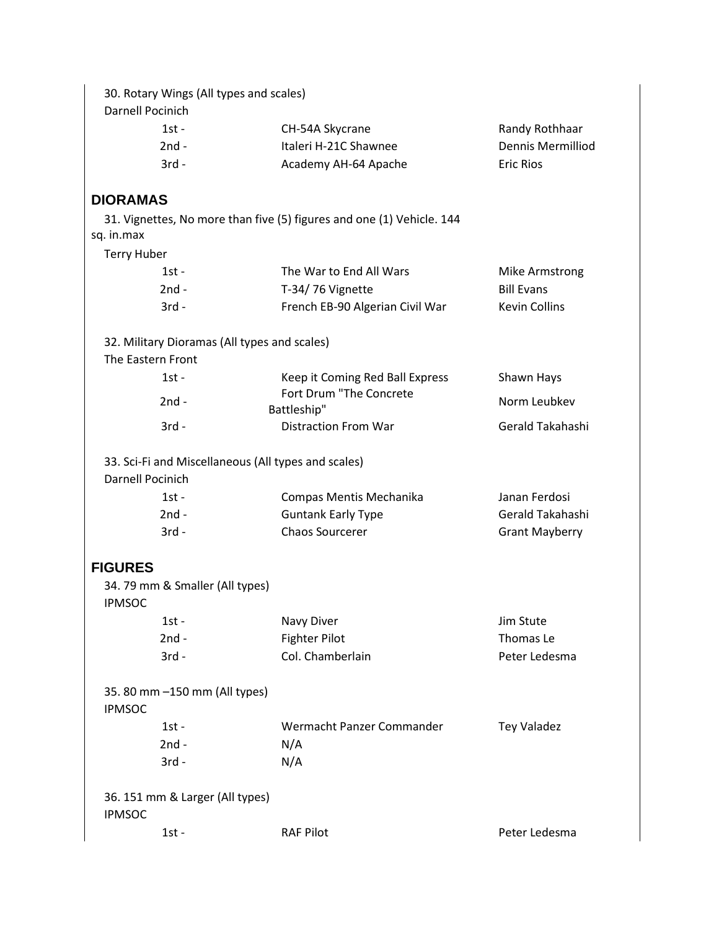| 30. Rotary Wings (All types and scales)<br><b>Darnell Pocinich</b> |                                                                       |                       |
|--------------------------------------------------------------------|-----------------------------------------------------------------------|-----------------------|
| $1st -$                                                            | CH-54A Skycrane                                                       | Randy Rothhaar        |
| $2nd -$                                                            | Italeri H-21C Shawnee                                                 | Dennis Mermilliod     |
| $3rd -$                                                            | Academy AH-64 Apache                                                  | <b>Eric Rios</b>      |
| <b>DIORAMAS</b>                                                    |                                                                       |                       |
| sq. in.max                                                         | 31. Vignettes, No more than five (5) figures and one (1) Vehicle. 144 |                       |
| <b>Terry Huber</b>                                                 |                                                                       |                       |
| $1st -$                                                            | The War to End All Wars                                               | Mike Armstrong        |
| $2nd -$                                                            | T-34/76 Vignette                                                      | <b>Bill Evans</b>     |
| $3rd -$                                                            | French EB-90 Algerian Civil War                                       | <b>Kevin Collins</b>  |
| 32. Military Dioramas (All types and scales)<br>The Eastern Front  |                                                                       |                       |
| $1st -$                                                            | Keep it Coming Red Ball Express                                       | Shawn Hays            |
| $2nd -$                                                            | Fort Drum "The Concrete                                               | Norm Leubkev          |
|                                                                    | Battleship"                                                           |                       |
| $3rd -$                                                            | <b>Distraction From War</b>                                           | Gerald Takahashi      |
| Darnell Pocinich                                                   | 33. Sci-Fi and Miscellaneous (All types and scales)                   |                       |
| $1st -$                                                            | Compas Mentis Mechanika                                               | Janan Ferdosi         |
| $2nd -$                                                            | <b>Guntank Early Type</b>                                             | Gerald Takahashi      |
| $3rd -$                                                            | <b>Chaos Sourcerer</b>                                                | <b>Grant Mayberry</b> |
| <b>FIGURES</b>                                                     |                                                                       |                       |
| 34.79 mm & Smaller (All types)<br><b>IPMSOC</b>                    |                                                                       |                       |
| $1st -$                                                            | Navy Diver                                                            | Jim Stute             |
| $2nd -$                                                            | <b>Fighter Pilot</b>                                                  | Thomas Le             |
| $3rd -$                                                            | Col. Chamberlain                                                      | Peter Ledesma         |
| 35.80 mm -150 mm (All types)<br><b>IPMSOC</b>                      |                                                                       |                       |
| $1st -$                                                            | Wermacht Panzer Commander                                             | <b>Tey Valadez</b>    |
| $2nd -$                                                            | N/A                                                                   |                       |
| $3rd -$                                                            | N/A                                                                   |                       |
| 36. 151 mm & Larger (All types)<br><b>IPMSOC</b>                   |                                                                       |                       |
| $1st -$                                                            | <b>RAF Pilot</b>                                                      | Peter Ledesma         |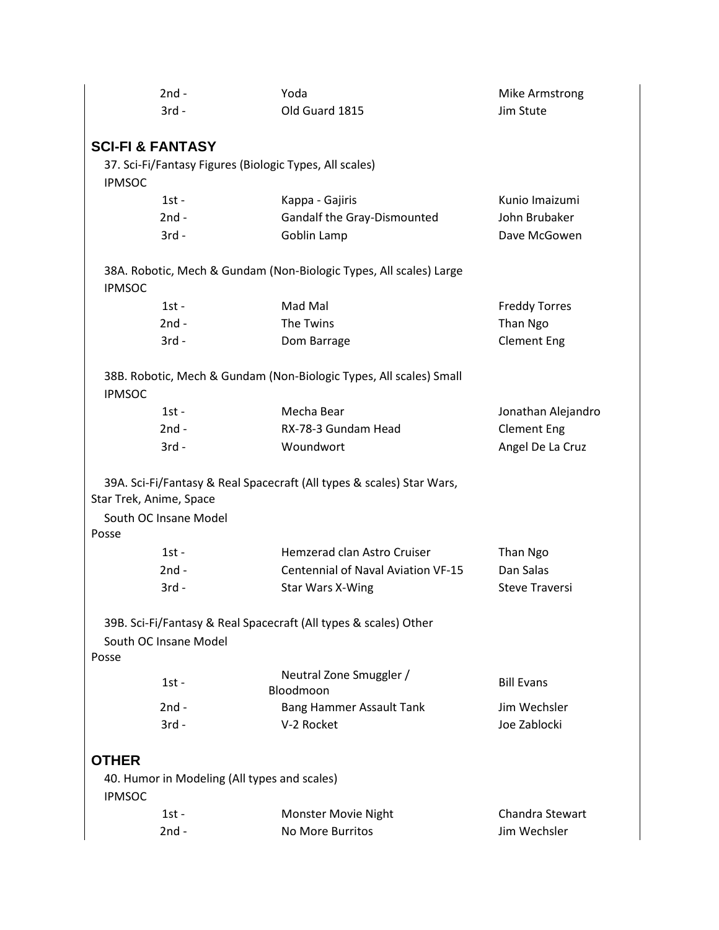|                                  | 2nd -                                                   | Yoda                                                                  | Mike Armstrong         |
|----------------------------------|---------------------------------------------------------|-----------------------------------------------------------------------|------------------------|
|                                  | $3rd -$                                                 | Old Guard 1815                                                        | Jim Stute              |
|                                  |                                                         |                                                                       |                        |
| <b>SCI-FI &amp; FANTASY</b>      |                                                         |                                                                       |                        |
|                                  | 37. Sci-Fi/Fantasy Figures (Biologic Types, All scales) |                                                                       |                        |
| <b>IPMSOC</b>                    |                                                         |                                                                       |                        |
|                                  | $1st -$                                                 | Kappa - Gajiris                                                       | Kunio Imaizumi         |
|                                  | $2nd -$                                                 | Gandalf the Gray-Dismounted                                           | John Brubaker          |
|                                  | $3rd -$                                                 | Goblin Lamp                                                           | Dave McGowen           |
| <b>IPMSOC</b>                    |                                                         | 38A. Robotic, Mech & Gundam (Non-Biologic Types, All scales) Large    |                        |
|                                  | $1st -$                                                 | Mad Mal                                                               | <b>Freddy Torres</b>   |
|                                  | $2nd -$                                                 | The Twins                                                             | Than Ngo               |
|                                  | $3rd -$                                                 | Dom Barrage                                                           | <b>Clement Eng</b>     |
| <b>IPMSOC</b>                    |                                                         | 38B. Robotic, Mech & Gundam (Non-Biologic Types, All scales) Small    |                        |
|                                  | $1st -$                                                 | Mecha Bear                                                            | Jonathan Alejandro     |
|                                  | $2nd -$                                                 | RX-78-3 Gundam Head                                                   | <b>Clement Eng</b>     |
|                                  | $3rd -$                                                 | Woundwort                                                             | Angel De La Cruz       |
| Star Trek, Anime, Space<br>Posse | South OC Insane Model                                   | 39A. Sci-Fi/Fantasy & Real Spacecraft (All types & scales) Star Wars, |                        |
|                                  | $1st -$                                                 | Hemzerad clan Astro Cruiser                                           | Than Ngo               |
|                                  | $2nd -$                                                 | <b>Centennial of Naval Aviation VF-15</b>                             | Dan Salas              |
|                                  | $3rd -$                                                 | Star Wars X-Wing                                                      | <b>Steve Traversi</b>  |
| Posse                            | South OC Insane Model                                   | 39B. Sci-Fi/Fantasy & Real Spacecraft (All types & scales) Other      |                        |
|                                  | $1st -$                                                 | Neutral Zone Smuggler /<br>Bloodmoon                                  | <b>Bill Evans</b>      |
|                                  | $2nd -$                                                 | <b>Bang Hammer Assault Tank</b>                                       | Jim Wechsler           |
|                                  | $3rd -$                                                 | V-2 Rocket                                                            | Joe Zablocki           |
| <b>OTHER</b><br><b>IPMSOC</b>    | 40. Humor in Modeling (All types and scales)<br>$1st -$ | <b>Monster Movie Night</b>                                            | <b>Chandra Stewart</b> |
|                                  | $2nd -$                                                 | No More Burritos                                                      | Jim Wechsler           |
|                                  |                                                         |                                                                       |                        |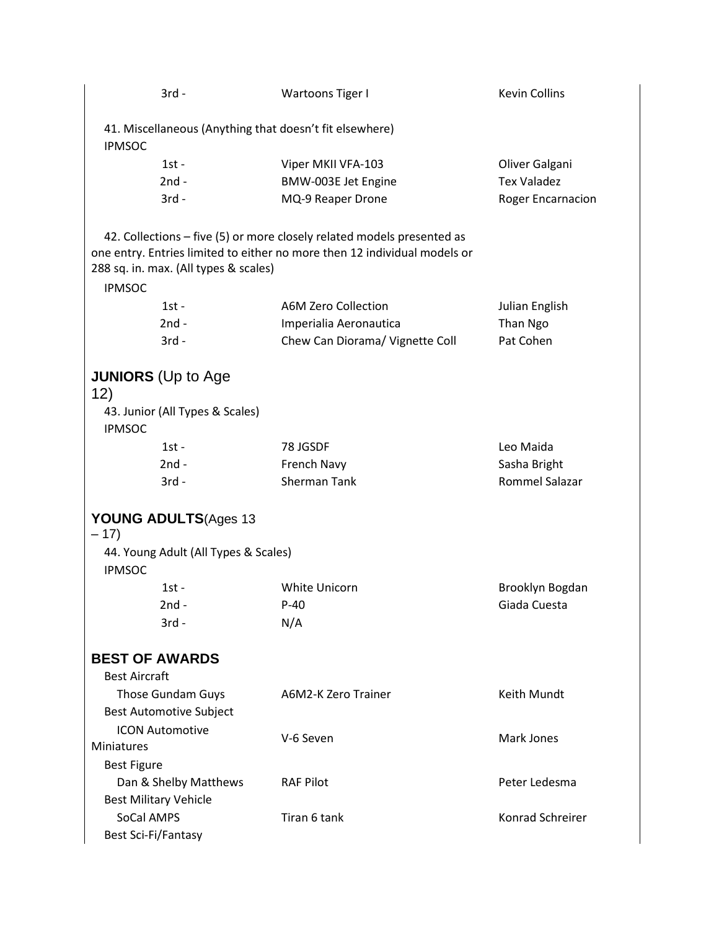|                      | $3rd -$                               | Wartoons Tiger I                                                                                                                                    | <b>Kevin Collins</b>     |
|----------------------|---------------------------------------|-----------------------------------------------------------------------------------------------------------------------------------------------------|--------------------------|
| <b>IPMSOC</b>        |                                       | 41. Miscellaneous (Anything that doesn't fit elsewhere)                                                                                             |                          |
|                      | $1st -$                               | Viper MKII VFA-103                                                                                                                                  | Oliver Galgani           |
|                      | $2nd -$                               | BMW-003E Jet Engine                                                                                                                                 | <b>Tex Valadez</b>       |
|                      | $3rd -$                               | MQ-9 Reaper Drone                                                                                                                                   | <b>Roger Encarnacion</b> |
|                      |                                       |                                                                                                                                                     |                          |
|                      | 288 sq. in. max. (All types & scales) | 42. Collections - five (5) or more closely related models presented as<br>one entry. Entries limited to either no more then 12 individual models or |                          |
| <b>IPMSOC</b>        |                                       |                                                                                                                                                     |                          |
|                      | $1st -$                               | A6M Zero Collection                                                                                                                                 | Julian English           |
|                      | $2nd -$                               | Imperialia Aeronautica                                                                                                                              | Than Ngo                 |
|                      | $3rd -$                               | Chew Can Diorama/ Vignette Coll                                                                                                                     | Pat Cohen                |
| 12)                  | <b>JUNIORS</b> (Up to Age             |                                                                                                                                                     |                          |
| <b>IPMSOC</b>        | 43. Junior (All Types & Scales)       |                                                                                                                                                     |                          |
|                      | $1st -$                               | 78 JGSDF                                                                                                                                            | Leo Maida                |
|                      | $2nd -$                               | French Navy                                                                                                                                         | Sasha Bright             |
|                      | $3rd -$                               | <b>Sherman Tank</b>                                                                                                                                 | Rommel Salazar           |
| $-17)$               | YOUNG ADULTS(Ages 13                  |                                                                                                                                                     |                          |
| <b>IPMSOC</b>        | 44. Young Adult (All Types & Scales)  |                                                                                                                                                     |                          |
|                      | $1st -$                               | White Unicorn                                                                                                                                       | Brooklyn Bogdan          |
|                      | $2nd -$                               | $P-40$                                                                                                                                              | Giada Cuesta             |
|                      | 3rd -                                 | N/A                                                                                                                                                 |                          |
|                      |                                       |                                                                                                                                                     |                          |
|                      | <b>BEST OF AWARDS</b>                 |                                                                                                                                                     |                          |
| <b>Best Aircraft</b> |                                       |                                                                                                                                                     |                          |
|                      | Those Gundam Guys                     | A6M2-K Zero Trainer                                                                                                                                 | Keith Mundt              |
|                      | <b>Best Automotive Subject</b>        |                                                                                                                                                     |                          |
|                      | <b>ICON Automotive</b>                | V-6 Seven                                                                                                                                           | Mark Jones               |
| Miniatures           |                                       |                                                                                                                                                     |                          |
| <b>Best Figure</b>   |                                       |                                                                                                                                                     |                          |
|                      | Dan & Shelby Matthews                 | <b>RAF Pilot</b>                                                                                                                                    | Peter Ledesma            |
|                      | <b>Best Military Vehicle</b>          |                                                                                                                                                     |                          |
| SoCal AMPS           |                                       | Tiran 6 tank                                                                                                                                        | Konrad Schreirer         |
| Best Sci-Fi/Fantasy  |                                       |                                                                                                                                                     |                          |
|                      |                                       |                                                                                                                                                     |                          |